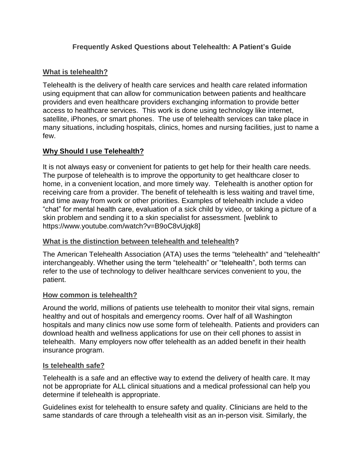# **Frequently Asked Questions about Telehealth: A Patient's Guide**

### **What is telehealth?**

Telehealth is the delivery of health care services and health care related information using equipment that can allow for communication between patients and healthcare providers and even healthcare providers exchanging information to provide better access to healthcare services. This work is done using technology like internet, satellite, iPhones, or smart phones. The use of telehealth services can take place in many situations, including hospitals, clinics, homes and nursing facilities, just to name a few.

## **Why Should I use Telehealth?**

It is not always easy or convenient for patients to get help for their health care needs. The purpose of telehealth is to improve the opportunity to get healthcare closer to home, in a convenient location, and more timely way. Telehealth is another option for receiving care from a provider. The benefit of telehealth is less waiting and travel time, and time away from work or other priorities. Examples of telehealth include a video "chat" for mental health care, evaluation of a sick child by video, or taking a picture of a skin problem and sending it to a skin specialist for assessment. [weblink to https://www.youtube.com/watch?v=B9oC8vUjqk8]

#### **What is the distinction between telehealth and telehealth?**

The American Telehealth Association (ATA) uses the terms "telehealth" and "telehealth" interchangeably. Whether using the term "telehealth" or "telehealth", both terms can refer to the use of technology to deliver healthcare services convenient to you, the patient.

#### **How common is telehealth?**

Around the world, millions of patients use telehealth to monitor their vital signs, remain healthy and out of hospitals and emergency rooms. Over half of all Washington hospitals and many clinics now use some form of telehealth. Patients and providers can download health and wellness applications for use on their cell phones to assist in telehealth. Many employers now offer telehealth as an added benefit in their health insurance program.

#### **Is telehealth safe?**

Telehealth is a safe and an effective way to extend the delivery of health care. It may not be appropriate for ALL clinical situations and a medical professional can help you determine if telehealth is appropriate.

Guidelines exist for telehealth to ensure safety and quality. Clinicians are held to the same standards of care through a telehealth visit as an in-person visit. Similarly, the